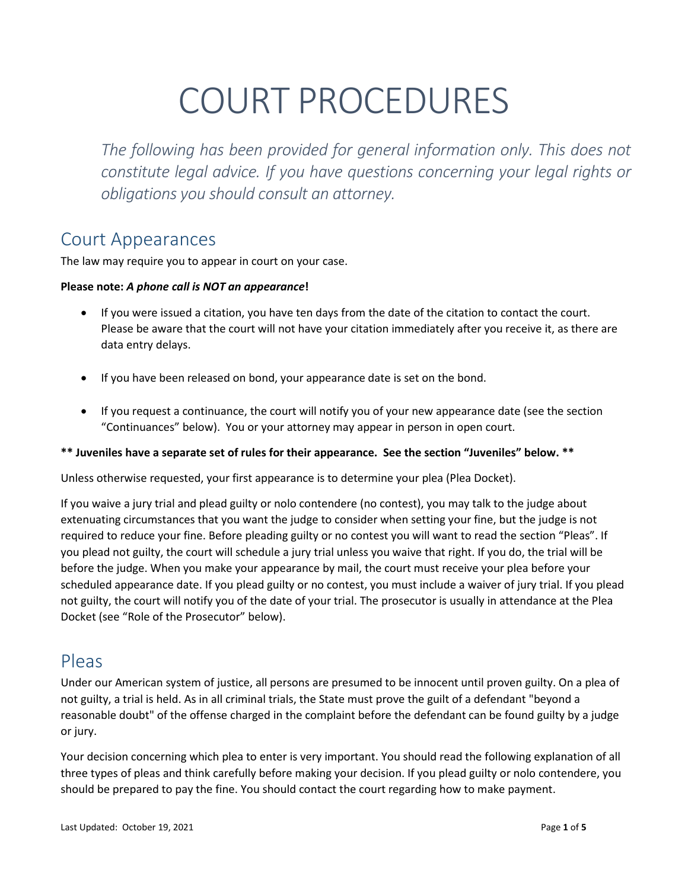# COURT PROCEDURES

*The following has been provided for general information only. This does not constitute legal advice. If you have questions concerning your legal rights or obligations you should consult an attorney.* 

#### Court Appearances

The law may require you to appear in court on your case.

#### **Please note:** *A phone call is NOT an appearance***!**

- If you were issued a citation, you have ten days from the date of the citation to contact the court. Please be aware that the court will not have your citation immediately after you receive it, as there are data entry delays.
- If you have been released on bond, your appearance date is set on the bond.
- If you request a continuance, the court will notify you of your new appearance date (see the section "Continuances" below). You or your attorney may appear in person in open court.

#### **\*\* Juveniles have a separate set of rules for their appearance. See the section "Juveniles" below. \*\***

Unless otherwise requested, your first appearance is to determine your plea (Plea Docket).

If you waive a jury trial and plead guilty or nolo contendere (no contest), you may talk to the judge about extenuating circumstances that you want the judge to consider when setting your fine, but the judge is not required to reduce your fine. Before pleading guilty or no contest you will want to read the section "Pleas". If you plead not guilty, the court will schedule a jury trial unless you waive that right. If you do, the trial will be before the judge. When you make your appearance by mail, the court must receive your plea before your scheduled appearance date. If you plead guilty or no contest, you must include a waiver of jury trial. If you plead not guilty, the court will notify you of the date of your trial. The prosecutor is usually in attendance at the Plea Docket (see "Role of the Prosecutor" below).

#### Pleas

Under our American system of justice, all persons are presumed to be innocent until proven guilty. On a plea of not guilty, a trial is held. As in all criminal trials, the State must prove the guilt of a defendant "beyond a reasonable doubt" of the offense charged in the complaint before the defendant can be found guilty by a judge or jury.

Your decision concerning which plea to enter is very important. You should read the following explanation of all three types of pleas and think carefully before making your decision. If you plead guilty or nolo contendere, you should be prepared to pay the fine. You should contact the court regarding how to make payment.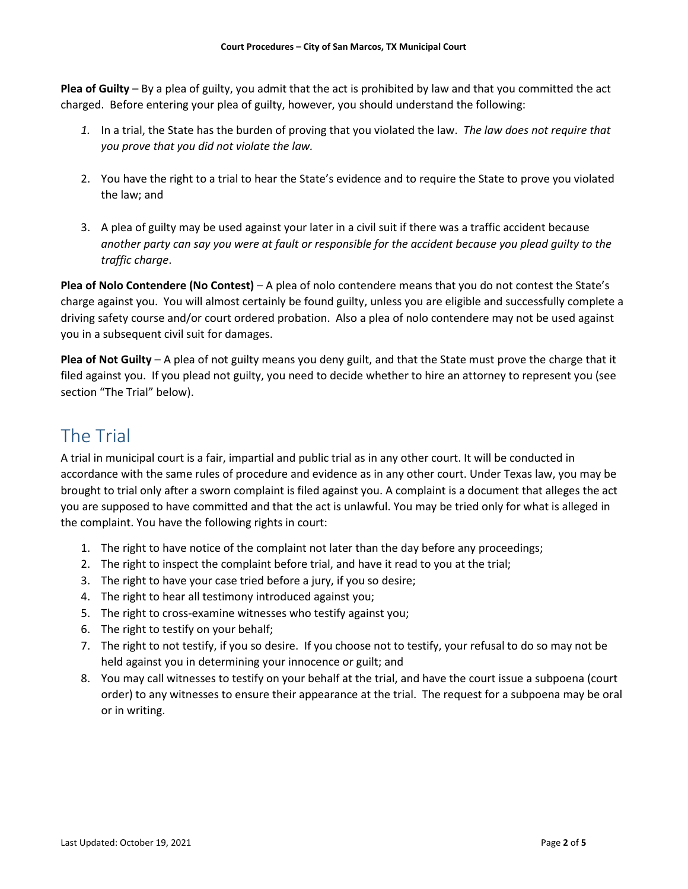**Plea of Guilty** – By a plea of guilty, you admit that the act is prohibited by law and that you committed the act charged. Before entering your plea of guilty, however, you should understand the following:

- *1.* In a trial, the State has the burden of proving that you violated the law. *The law does not require that you prove that you did not violate the law.*
- 2. You have the right to a trial to hear the State's evidence and to require the State to prove you violated the law; and
- 3. A plea of guilty may be used against your later in a civil suit if there was a traffic accident because *another party can say you were at fault or responsible for the accident because you plead guilty to the traffic charge*.

**Plea of Nolo Contendere (No Contest)** – A plea of nolo contendere means that you do not contest the State's charge against you. You will almost certainly be found guilty, unless you are eligible and successfully complete a driving safety course and/or court ordered probation. Also a plea of nolo contendere may not be used against you in a subsequent civil suit for damages.

**Plea of Not Guilty** – A plea of not guilty means you deny guilt, and that the State must prove the charge that it filed against you. If you plead not guilty, you need to decide whether to hire an attorney to represent you (see section "The Trial" below).

## The Trial

A trial in municipal court is a fair, impartial and public trial as in any other court. It will be conducted in accordance with the same rules of procedure and evidence as in any other court. Under Texas law, you may be brought to trial only after a sworn complaint is filed against you. A complaint is a document that alleges the act you are supposed to have committed and that the act is unlawful. You may be tried only for what is alleged in the complaint. You have the following rights in court:

- 1. The right to have notice of the complaint not later than the day before any proceedings;
- 2. The right to inspect the complaint before trial, and have it read to you at the trial;
- 3. The right to have your case tried before a jury, if you so desire;
- 4. The right to hear all testimony introduced against you;
- 5. The right to cross-examine witnesses who testify against you;
- 6. The right to testify on your behalf;
- 7. The right to not testify, if you so desire. If you choose not to testify, your refusal to do so may not be held against you in determining your innocence or guilt; and
- 8. You may call witnesses to testify on your behalf at the trial, and have the court issue a subpoena (court order) to any witnesses to ensure their appearance at the trial. The request for a subpoena may be oral or in writing.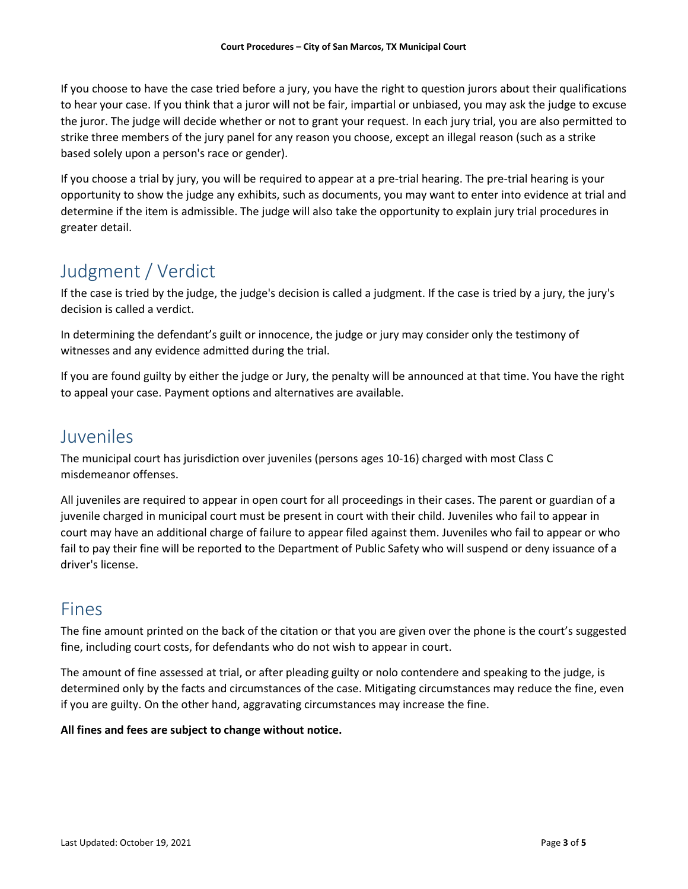If you choose to have the case tried before a jury, you have the right to question jurors about their qualifications to hear your case. If you think that a juror will not be fair, impartial or unbiased, you may ask the judge to excuse the juror. The judge will decide whether or not to grant your request. In each jury trial, you are also permitted to strike three members of the jury panel for any reason you choose, except an illegal reason (such as a strike based solely upon a person's race or gender).

If you choose a trial by jury, you will be required to appear at a pre-trial hearing. The pre-trial hearing is your opportunity to show the judge any exhibits, such as documents, you may want to enter into evidence at trial and determine if the item is admissible. The judge will also take the opportunity to explain jury trial procedures in greater detail.

# Judgment / Verdict

If the case is tried by the judge, the judge's decision is called a judgment. If the case is tried by a jury, the jury's decision is called a verdict.

In determining the defendant's guilt or innocence, the judge or jury may consider only the testimony of witnesses and any evidence admitted during the trial.

If you are found guilty by either the judge or Jury, the penalty will be announced at that time. You have the right to appeal your case. Payment options and alternatives are available.

#### Juveniles

The municipal court has jurisdiction over juveniles (persons ages 10-16) charged with most Class C misdemeanor offenses.

All juveniles are required to appear in open court for all proceedings in their cases. The parent or guardian of a juvenile charged in municipal court must be present in court with their child. Juveniles who fail to appear in court may have an additional charge of failure to appear filed against them. Juveniles who fail to appear or who fail to pay their fine will be reported to the Department of Public Safety who will suspend or deny issuance of a driver's license.

# Fines

The fine amount printed on the back of the citation or that you are given over the phone is the court's suggested fine, including court costs, for defendants who do not wish to appear in court.

The amount of fine assessed at trial, or after pleading guilty or nolo contendere and speaking to the judge, is determined only by the facts and circumstances of the case. Mitigating circumstances may reduce the fine, even if you are guilty. On the other hand, aggravating circumstances may increase the fine.

#### **All fines and fees are subject to change without notice.**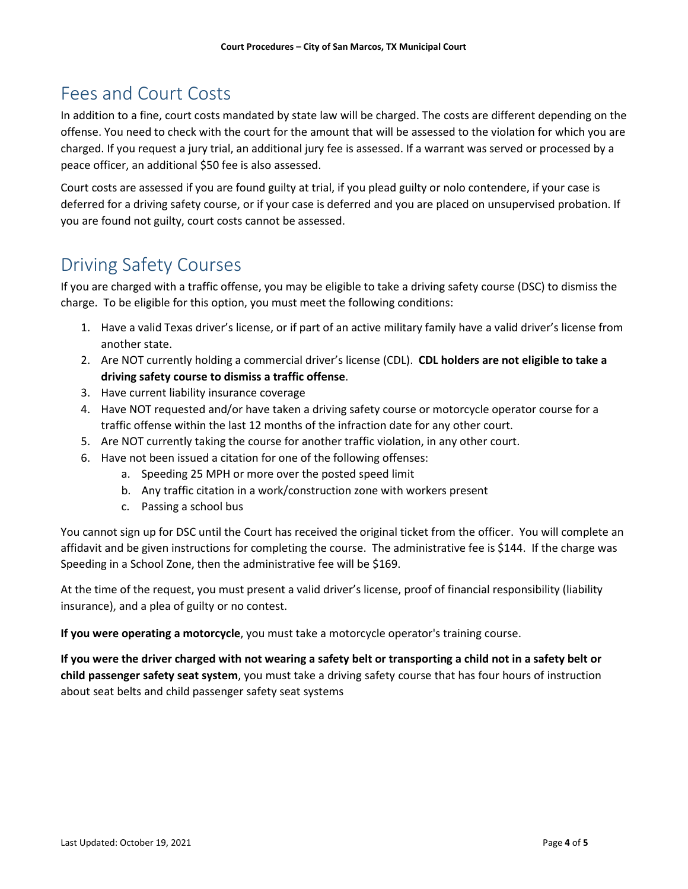## Fees and Court Costs

In addition to a fine, court costs mandated by state law will be charged. The costs are different depending on the offense. You need to check with the court for the amount that will be assessed to the violation for which you are charged. If you request a jury trial, an additional jury fee is assessed. If a warrant was served or processed by a peace officer, an additional \$50 fee is also assessed.

Court costs are assessed if you are found guilty at trial, if you plead guilty or nolo contendere, if your case is deferred for a driving safety course, or if your case is deferred and you are placed on unsupervised probation. If you are found not guilty, court costs cannot be assessed.

## Driving Safety Courses

If you are charged with a traffic offense, you may be eligible to take a driving safety course (DSC) to dismiss the charge. To be eligible for this option, you must meet the following conditions:

- 1. Have a valid Texas driver's license, or if part of an active military family have a valid driver's license from another state.
- 2. Are NOT currently holding a commercial driver's license (CDL). **CDL holders are not eligible to take a driving safety course to dismiss a traffic offense**.
- 3. Have current liability insurance coverage
- 4. Have NOT requested and/or have taken a driving safety course or motorcycle operator course for a traffic offense within the last 12 months of the infraction date for any other court.
- 5. Are NOT currently taking the course for another traffic violation, in any other court.
- 6. Have not been issued a citation for one of the following offenses:
	- a. Speeding 25 MPH or more over the posted speed limit
		- b. Any traffic citation in a work/construction zone with workers present
		- c. Passing a school bus

You cannot sign up for DSC until the Court has received the original ticket from the officer. You will complete an affidavit and be given instructions for completing the course. The administrative fee is \$144. If the charge was Speeding in a School Zone, then the administrative fee will be \$169.

At the time of the request, you must present a valid driver's license, proof of financial responsibility (liability insurance), and a plea of guilty or no contest.

**If you were operating a motorcycle**, you must take a motorcycle operator's training course.

**If you were the driver charged with not wearing a safety belt or transporting a child not in a safety belt or child passenger safety seat system**, you must take a driving safety course that has four hours of instruction about seat belts and child passenger safety seat systems